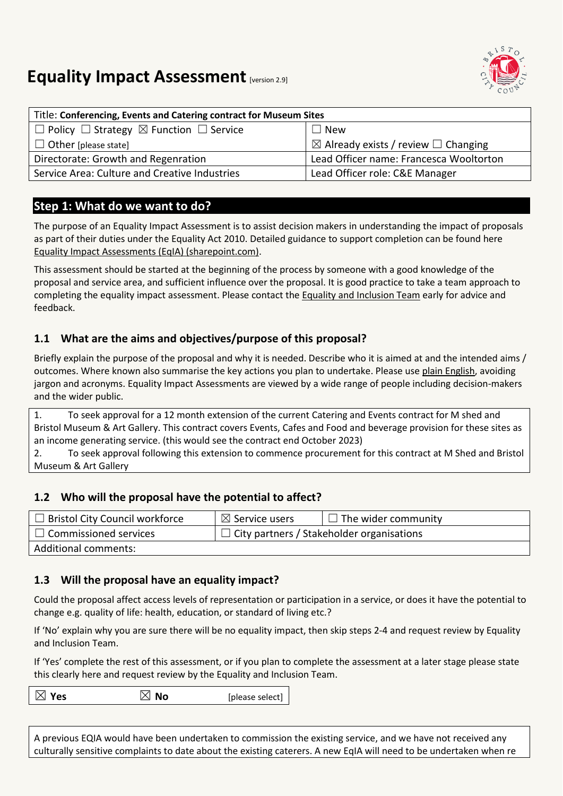# **Equality Impact Assessment [version 2.9]**

| Title: Conferencing, Events and Catering contract for Museum Sites |                                                     |  |
|--------------------------------------------------------------------|-----------------------------------------------------|--|
| $\Box$ Policy $\Box$ Strategy $\boxtimes$ Function $\Box$ Service  | $\Box$ New                                          |  |
| $\Box$ Other [please state]                                        | $\boxtimes$ Already exists / review $\Box$ Changing |  |
| Directorate: Growth and Regenration                                | Lead Officer name: Francesca Wooltorton             |  |
| Service Area: Culture and Creative Industries                      | Lead Officer role: C&E Manager                      |  |

## **Step 1: What do we want to do?**

The purpose of an Equality Impact Assessment is to assist decision makers in understanding the impact of proposals as part of their duties under the Equality Act 2010. Detailed guidance to support completion can be found here [Equality Impact Assessments \(EqIA\) \(sharepoint.com\).](https://bristolcouncil.sharepoint.com/sites/Corporate/SitePages/equality-impact-assessments.aspx) 

This assessment should be started at the beginning of the process by someone with a good knowledge of the proposal and service area, and sufficient influence over the proposal. It is good practice to take a team approach to completing the equality impact assessment. Please contact the [Equality and Inclusion Team](mailto:equalities.team@bristol.gov.uk) early for advice and feedback.

### **1.1 What are the aims and objectives/purpose of this proposal?**

Briefly explain the purpose of the proposal and why it is needed. Describe who it is aimed at and the intended aims / outcomes. Where known also summarise the key actions you plan to undertake. Please us[e plain English,](http://www.plainenglish.co.uk/) avoiding jargon and acronyms. Equality Impact Assessments are viewed by a wide range of people including decision-makers and the wider public.

1. To seek approval for a 12 month extension of the current Catering and Events contract for M shed and Bristol Museum & Art Gallery. This contract covers Events, Cafes and Food and beverage provision for these sites as an income generating service. (this would see the contract end October 2023)

2. To seek approval following this extension to commence procurement for this contract at M Shed and Bristol Museum & Art Gallery

#### **1.2 Who will the proposal have the potential to affect?**

| $\Box$ Bristol City Council workforce | $\boxtimes$ Service users                        | $\Box$ The wider community |
|---------------------------------------|--------------------------------------------------|----------------------------|
| $\Box$ Commissioned services          | $\Box$ City partners / Stakeholder organisations |                            |
| Additional comments:                  |                                                  |                            |

#### **1.3 Will the proposal have an equality impact?**

Could the proposal affect access levels of representation or participation in a service, or does it have the potential to change e.g. quality of life: health, education, or standard of living etc.?

If 'No' explain why you are sure there will be no equality impact, then skip steps 2-4 and request review by Equality and Inclusion Team.

If 'Yes' complete the rest of this assessment, or if you plan to complete the assessment at a later stage please state this clearly here and request review by the [Equality and Inclusion Team.](mailto:equalities.team@bristol.gov.uk)

 $\boxtimes$  **Yes**  $\boxtimes$  **No** [please select]

A previous EQIA would have been undertaken to commission the existing service, and we have not received any culturally sensitive complaints to date about the existing caterers. A new EqIA will need to be undertaken when re